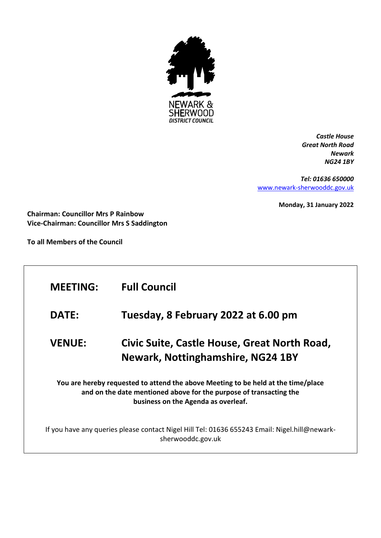

*Castle House Great North Road Newark NG24 1BY*

*Tel: 01636 650000* [www.newark-sherwooddc.gov.uk](http://www.newark-sherwooddc.gov.uk/)

**Monday, 31 January 2022**

**Chairman: Councillor Mrs P Rainbow Vice-Chairman: Councillor Mrs S Saddington**

**To all Members of the Council**

| <b>MEETING:</b>                                                                                                                                                                                | <b>Full Council</b>                                                                      |  |
|------------------------------------------------------------------------------------------------------------------------------------------------------------------------------------------------|------------------------------------------------------------------------------------------|--|
| <b>DATE:</b>                                                                                                                                                                                   | Tuesday, 8 February 2022 at 6.00 pm                                                      |  |
| <b>VENUE:</b>                                                                                                                                                                                  | Civic Suite, Castle House, Great North Road,<br><b>Newark, Nottinghamshire, NG24 1BY</b> |  |
| You are hereby requested to attend the above Meeting to be held at the time/place<br>and on the date mentioned above for the purpose of transacting the<br>business on the Agenda as overleaf. |                                                                                          |  |
| If you have any queries please contact Nigel Hill Tel: 01636 655243 Email: Nigel.hill@newark-<br>sherwooddc.gov.uk                                                                             |                                                                                          |  |
|                                                                                                                                                                                                |                                                                                          |  |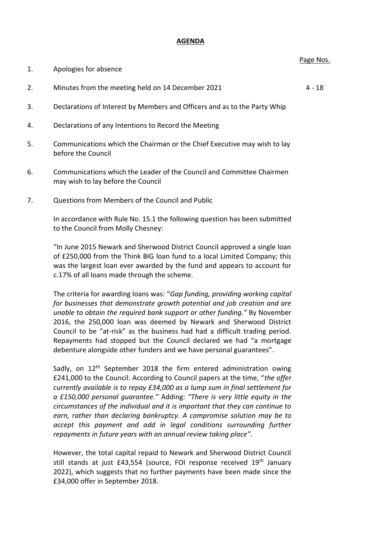## **AGENDA**

| 1. | Apologies for absence                                                     | 1.95C11C |
|----|---------------------------------------------------------------------------|----------|
| 2. | Minutes from the meeting held on 14 December 2021                         | 4 - 18   |
| 3. | Declarations of Interest by Members and Officers and as to the Party Whip |          |
| 4. | Declarations of any Intentions to Record the Meeting                      |          |
| 5. | Communications which the Chairman or the Chief Executive may wish to lay  |          |

- 6. Communications which the Leader of the Council and Committee Chairmen may wish to lay before the Council
- 7. Questions from Members of the Council and Public

before the Council

In accordance with Rule No. 15.1 the following question has been submitted to the Council from Molly Chesney:

"In June 2015 Newark and Sherwood District Council approved a single loan of £250,000 from the Think BIG loan fund to a local Limited Company; this was the largest loan ever awarded by the fund and appears to account for c.17% of all loans made through the scheme.

The criteria for awarding loans was: "*Gap funding, providing working capital for businesses that demonstrate growth potential and job creation and are unable to obtain the required bank support or other funding."* By November 2016, the 250,000 loan was deemed by Newark and Sherwood District Council to be "at-risk" as the business had had a difficult trading period. Repayments had stopped but the Council declared we had "a mortgage debenture alongside other funders and we have personal guarantees".

Sadly, on  $12<sup>th</sup>$  September 2018 the firm entered administration owing £241,000 to the Council. According to Council papers at the time, "*the offer currently available is to repay £34,000 as a lump sum in final settlement for a £150,000 personal guarantee."* Adding: *"There is very little equity in the circumstances of the individual and it is important that they can continue to earn, rather than declaring bankruptcy. A compromise solution may be to accept this payment and add in legal conditions surrounding further repayments in future years with an annual review taking place"*.

However, the total capital repaid to Newark and Sherwood District Council still stands at just £43,554 (source, FOI response received 19<sup>th</sup> January 2022), which suggests that no further payments have been made since the £34,000 offer in September 2018.